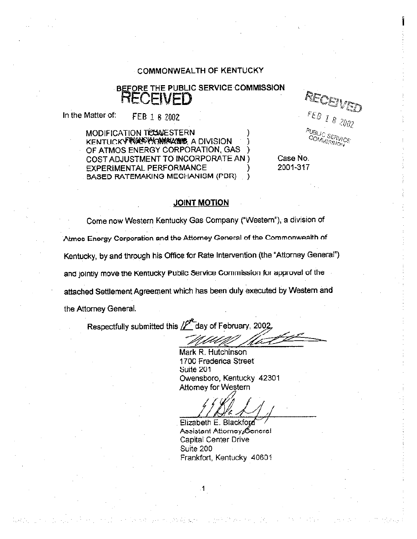#### **COMMONWEALTH OF KENTUCKY**

## BEFORE THE PUBLIC SERVICE COMMISSION RECENED

In the Matter of: FEB 1 8 2002

> MODIFICATION TICUMESTERN KENTUCKY NAVYKANAVAL A DIVISION OF ATMOS ENERGY CORPORATION, GAS COST ADJUSTMENT TO INCORPORATE AN ) **EXPERIMENTAL PERFORMANCE BASED RATEMAKING MECHANISM (PDR)**

RECEN FEB 1 8 2002

Case No. 2001-317

#### **JOINT MOTION**

Come now Western Kentucky Gas Company ("Western"), a division of Atmos Energy Corporation and the Attorney General of the Commonwealth of Kentucky, by and through his Office for Rate Intervention (the "Attorney General") and jointly move the Kentucky Public Service Commission for approval of the attached Settlement Agreement which has been duly executed by Western and the Attorney General.

Respectfully submitted this // day of February, 2002

Mark R. Hutchinson 1700 Frederica Street Suite 201 Owensboro, Kentucky 42301 **Attorney for Western** 

Elizabeth E. Blackford Assistant Attorney General **Capital Center Drive** Suite 200 Frankfort, Kentucky 40601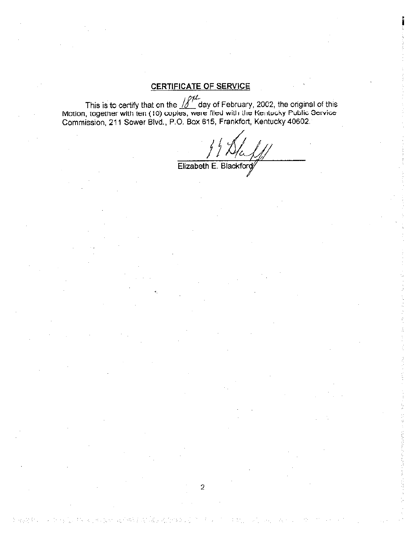### **CERTIFICATE OF SERVICE**

This is to certify that on the  $\iiint_{\text{C}}$  day of February, 2002, the original of this Motion, together with ten (10) copies, were filed with the Kentucky Public Service Commission, 211 Sower Blvd., P.O. Box 615, Frankfor

Elizabeth E. Blackford

천 남고대 학

 $\bar{2}$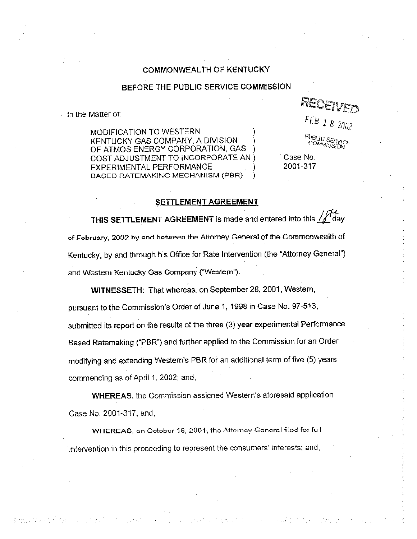#### COMMONWEALTH OF KENTUCKY

#### BEFORE THE PUBLIC SERVICE COMMISSION

in the Matter of:

operation and the set

MODIFICATION TO WESTERN KENTUCKY GAS COMPANY, A DIVISION OF ATMOS ENERGY CORPORATION, GAS COST ADJUSTMENT TO INCORPORATE AN ) **FXPERIMENTAL PERFORMANCE** BAGED RATEMAKING MECHANISM (PBR) € REO

 $FEB$  1 8 2002

**JBLIC SERVICE** 

Case No. 2001-317

#### SETTLEMENT AGREEMENT

THIS SETTLEMENT AGREEMENT is made and entered into this  $\iiint d\mathbf{\hat{a}}$ y of February, 2002 by and between the Attorney General of the Commonwealth of Kentucky, by and through his Office for Rate Intervention (the "Attorney General") and Western Kentucky Gas Company ("Western").

WITNESSETH: That whereas, on September 28, 2001, Western, pursuant to the Commission's Order of June 1, 1998 in Case No. 97-513, submitted its report on the results of the three (3) year experimental Performance Based Ratemaking ("PBR") and further applied to the Commission for an Order modifying and extending Western's PBR for an additional term of five (5) years commencing as of April 1, 2002; and,

**WHEREAS.** the Commission assigned Western's aforesaid application Case No. 2001-317; and,

WHEREAS, on October 16, 2001, the Attorney General filed for full intervention in this proceeding to represent the consumers' interests; and,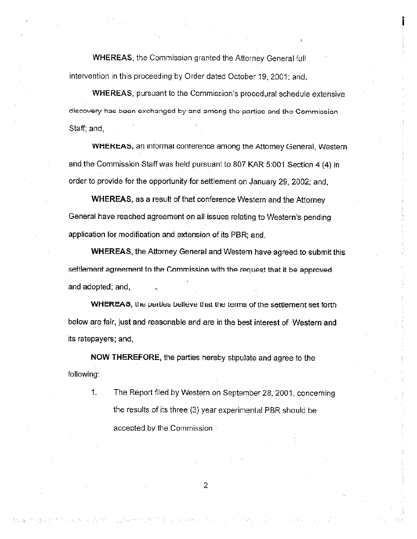WHEREAS, the Commission granted the Attorney General full intervention in this proceeding by Order dated October 19, 2001; and,

WHEREAS, pursuant to the Commission's procedural schedule extensive discovery has been exchanged by and among the partice and the Commission Staff; and,

WHEREAS, an informal conterence among the Attorney General, Western and the Commission Staff was held pursuant to 807 KAR 5:001 Section 4 (4) in order to provide for the opportunity for settlement on January 29, 2002; and,

WHEREAS, as a result of that conference Western and the Attorney General have reached agreement on all issues relating to Western's pending application for modification and extension of its PBR; and,

WHEREAS, the Attorney General and Western have agreed to submit this settlement agreement to the Commission with the request that it be approved and adopted; and,

WHEREAS, the parties believe that the terms of the settlement set forth below are fair, just and reasonable and are in the best interest of Western and its ratepayers; and,

NOW THEREFORE, the parties hereby stipulate and agree to the following:

1. The Report f'iled by Western on September 28, 2001, concerning the results of its three (3) year experimental PBR should be acceoted by the Commission.

2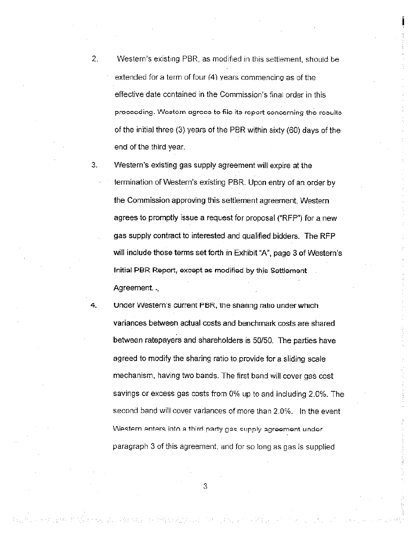- 2. Western's existing PBR, as modified in this settlement, should be extended for a term of four (4) vears commencino as of the effective date contained in the Commission's final order in this proceeding. Western agrees to file its report concerning the results of the initial three (3) years of the PBR within sixty (60) days of the end of the third year.
- 3. Western's existing gas supply agreement will expire at the termination of Western's existing PBR. Upon entry of an order by the Commission approving this settlement agreement, Western agrees to promptly issue a request for proposal ("RFP") for a new gas supply contract to interested and qualified bidders. The RFP will include those terms set forth in Exhibit "A", page 3 of Western's Initial PBR Report, except as modified by this Settlement Agreement...
- 4. Under Western's current PBR, the snaring ratio under which variances between actual costs and benchmark costs are shared between ratepayers and shareholders is 50/50. The parties have agreed to modify the sharing ratio to provide for a sliding scale mechanism, having two bands. The first band will cover gas cost savings or excess gas costs from 0% up to and including 2.0%. The second band will cover variances of more than 2 0%. In the event Western enters into a third party gas supply agreement under paragraph 3 of this agreement, and for so long as gas is supplied

3

.<br>1974 – Pilipina venik, prima sa sa prima matematika na mjesti na prima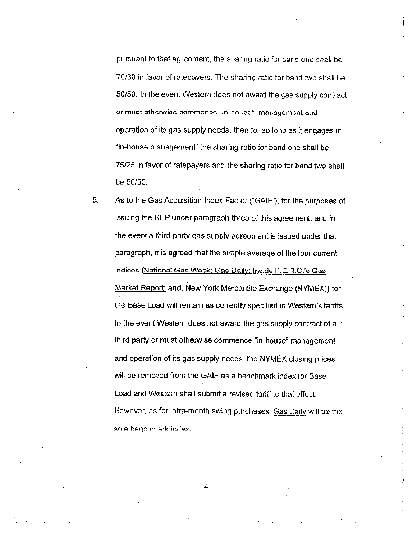pursuant to that agreement, the sharing ratio for band one shall be 70/30 in favor of ratepayers. The sharing ratio for band two shall be 50/50. In the event Western does not award the gas supply contract or must otherwise commence "in-house" management and operation of its gas supply needs, then for so iong as it engages in "in-house management" the sharing ratio ior band ons shall be 75/25 in favor of ratepayers and the sharing ratio for band two shall be 50/50.

5. As to the Gas Acquisition Index Factor ("GAIF"), for the purposes of issuing the RFP under paragraph three of this agreement, and in the event a third party gas supply aqreement is issued under that paragraph, it is agreed that the simple average of the four current indices (National Gas Week; Gas Daily; Inside F.E.R.C.'s Gas Market Report; and, New York Mercantile Exchange (NYMEX)) for the Base Load will remain as currently specified in Western's taniffs. In the event Western does not award the gas supply contract of a third party or must otherwise commence "in-house" management and operation of its gas supply needs, the NYMEX closing prices will be removed from the GAIF as a benchmark index for Base Load and Western shall submit a revised tariff to that effect. However, as for intra-month swing purchases, Gas Daily will be the sole benchmark index.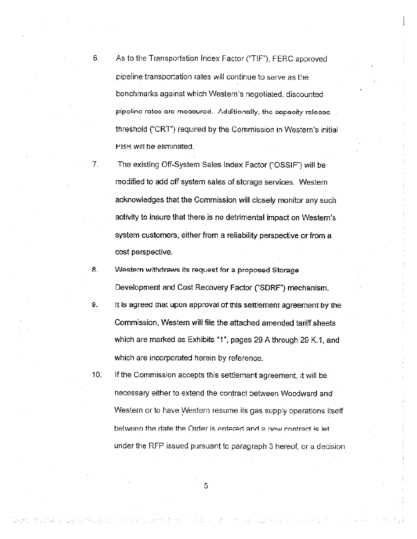- 6. As to the Transportation Index Factor ("TIF"), FERC approved pipeline transportation rates will continue to serve as the benchmarks against which Western's negotiated, discounted pipoline rates are measured. Additionally, the capacity release threshold ("CRT") required by the Commission in Western's initial PBR will be eliminated.
- 7. The existing Off-System Sales Index Factor ("OSSIF") will be modified to add off system sales of storage services. Western acknowledges that the Commission will closeiy monitor any such activity to insure that there is no detrimental impact on Western's system customers, either from a reliability perspective or from a cost perspective.
- 8. Western withdraws its request for a proposed Storage Development and Cost Recovery Factor ( SDRF") mechanism.
- s. It is agreed that upon approval or Ibis settlement agreement by me Commission, Western will file the attached amended tariff sheets which are marked as Exhibits "1", pages 29 A through 29 K.1, and which are incorporated herein by reference.
- 10. If the Commission accepts this settlement agreement, it will be necessary either to extend ihe contract between Woodward and Western or to have Western resume iis gas supply operations itself between the date the Order is entered and a new contract is let. under the RFP issued pursuant to paragraph 3 hereof, or a decision

5

through the graph of the same of the state of the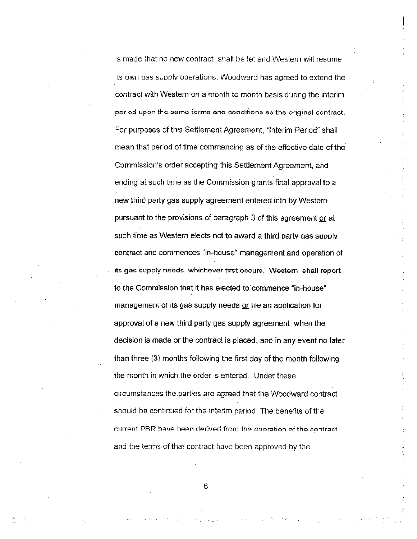is made that no new contract shall be let and Western will resume its own das supplv operations. Woodward has agreed to extend the contract with Western on a month to month basis during the interim period upon the same terms and conditions as the original contract. For purposes of this Settlement Agreement, "Interim Penod" shail mean that period of time commencing as of the effective date of the Commission's order accepbng this Settlement Agreement, and ending at such time as the Commission grants final approval to a new third party gas supply agreement entered into by Western pursuant to the provisions of paragraph 3 of this agreement or at such time as Western elects not to award a third party gas supply contract and commences "in-house" management and operation of its gas supply needs, whichever first occurs, Western shall report to the Commission that it has elected to commence "in-house" management of its gas supply needs or file an application for approval of a new third party gas supply agreement when the decision is made or the contract is placed, and in any event no later than three (3) months following the first day of the month following the month in which the order is entered. Under these circumstances the parties are agreed that the Woodward contract should be continued for the interim period. The benefits of the current PRR have heen derived from the operation of the contract and the terms of that contract have been approved by the

6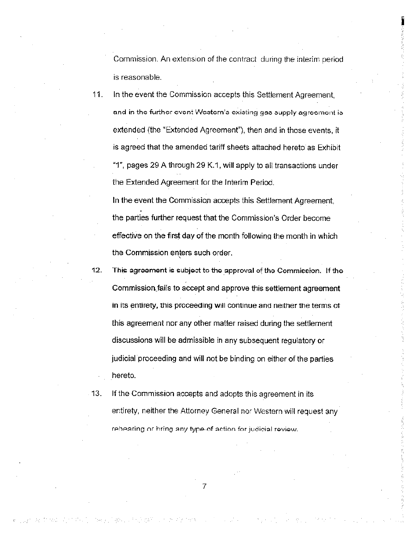Commission An extension of the contract during the interim period is reasonable.

11. In the event the Commission accepts this Settlement Agreement and in the further event Western's existing gas supply agreement is extended (the "Extended Agreement"), then and in those events, it is agreed that the amended tariff sheets attached hereto as Exhibit "1", pages 29 A through 29 K.1, will apply to all transactions under the Extended Agreement for the Interim Period.

In the event the Commission accepts this Settlement Agreement, the parties further request that the Commission's Order become effective on the first day of the month followinq the month in which the Commission enters such order.

12. This agreement is subject te the approval of the Commission. If the Commission fails to accept and approve this settlement agreement in its entirety, this proceeding wsl continue and neither the terms ot this agreement nor any other matter raised during the settlement discussions will be admissible in any subsequent regulatory or judicial proceeding and will not be binding on either of the parties hereto.

13. If the Commission accepts and adopts this agreement in its entirety, neither the Attorney General nor Western will request any rehearing or bring any type of action for judicial review.

7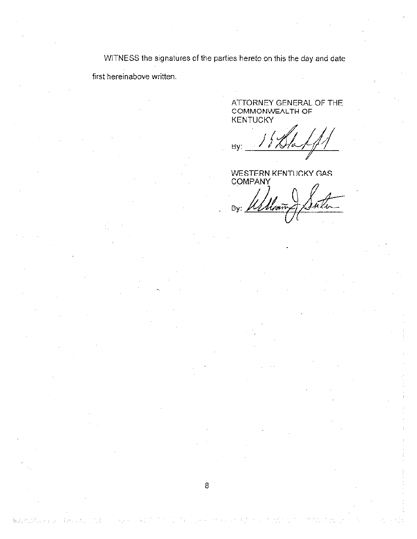WITNESS the signatures of the parties hereto on this the day and date first hereinabove written.

8

全地になっ

ATTORNEY GENERAL OF THE COMMONWEALTH OF **KENTUCKY** 

By:

WESTERN KENTUCKY GAS **COMPANY** 

u Vi. By: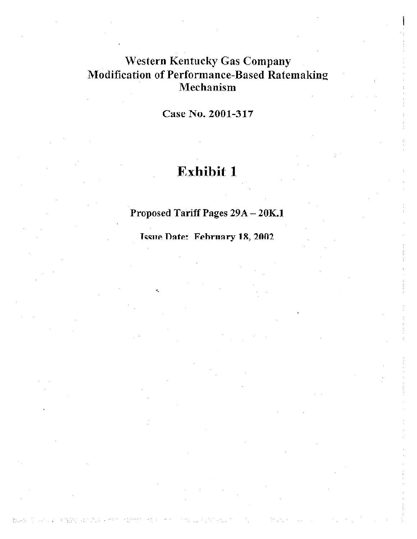# **Western Kentucky Gas Company Modification of Performance-Based Ratemaking** Mechanism

Case No. 2001-317

# Exhibit 1

# Proposed Tariff Pages 29A - 20K.1

Issue Date: February 18, 2002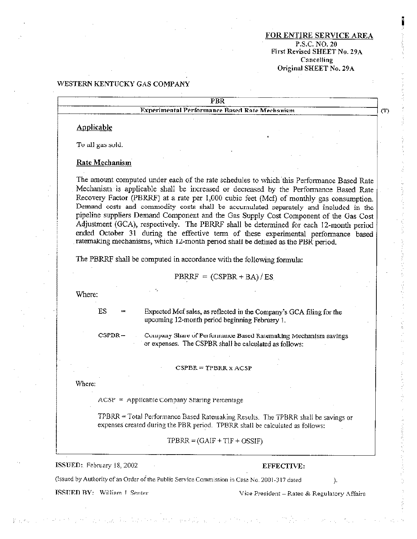#### **FOR EN RE SERVICE AREA** P.S.C. NO. 20 First Revised SHEET No. 29A Cancelling Original SHEET No. 29A

#### WESTERN KENTUCKY GAS COMPANY

|            | <b>PBR</b>                                                                                                                                                                                                                                                                                                                                                                                                                                                                                                                                                                                                                                                                                                                          |
|------------|-------------------------------------------------------------------------------------------------------------------------------------------------------------------------------------------------------------------------------------------------------------------------------------------------------------------------------------------------------------------------------------------------------------------------------------------------------------------------------------------------------------------------------------------------------------------------------------------------------------------------------------------------------------------------------------------------------------------------------------|
|            | Experimental Performance Based Rate Mechanism                                                                                                                                                                                                                                                                                                                                                                                                                                                                                                                                                                                                                                                                                       |
| Applicable |                                                                                                                                                                                                                                                                                                                                                                                                                                                                                                                                                                                                                                                                                                                                     |
|            | To all gas sold.                                                                                                                                                                                                                                                                                                                                                                                                                                                                                                                                                                                                                                                                                                                    |
|            | Rate Mechanism                                                                                                                                                                                                                                                                                                                                                                                                                                                                                                                                                                                                                                                                                                                      |
|            | The amount computed under each of the rate schedules to which this Performance Based Rate<br>Mechanism is applicable shall be increased or decreased by the Performance Based Rate<br>Recovery Factor (PBRRF) at a rate per 1,000 cubic feet (Mcf) of monthly gas consumption.<br>Demand costs and commodity costs shall be accumulated separately and included in the<br>pipeline suppliers Demand Component and the Gas Supply Cost Component of the Gas Cost<br>Adjustment (GCA), respectively. The PERRF shall be determined for each 12-month period<br>ended October 31 during the effective term of these experimental performance based<br>ratemaking mechanisms, which 12-month period shall be defined as the PBR period. |
|            | The PBRRF shall be computed in accordance with the following formula:                                                                                                                                                                                                                                                                                                                                                                                                                                                                                                                                                                                                                                                               |
|            |                                                                                                                                                                                                                                                                                                                                                                                                                                                                                                                                                                                                                                                                                                                                     |
|            | $PBRRF = (CSPBR + BA)/ES$                                                                                                                                                                                                                                                                                                                                                                                                                                                                                                                                                                                                                                                                                                           |
| Where:     |                                                                                                                                                                                                                                                                                                                                                                                                                                                                                                                                                                                                                                                                                                                                     |
|            | ES.<br>Expected Mcf sales, as reflected in the Company's GCA filing for the<br>upcoming 12-month period beginning February 1.                                                                                                                                                                                                                                                                                                                                                                                                                                                                                                                                                                                                       |
|            | $CSPDR -$<br>Company Share of Performance Based Ratemaking Mechanism savings<br>or expenses. The CSPBR shall be calculated as follows:                                                                                                                                                                                                                                                                                                                                                                                                                                                                                                                                                                                              |
|            | $CSPBR = TPBRR X ACSP$                                                                                                                                                                                                                                                                                                                                                                                                                                                                                                                                                                                                                                                                                                              |
| Where:     |                                                                                                                                                                                                                                                                                                                                                                                                                                                                                                                                                                                                                                                                                                                                     |
|            | $ACSP = Applicable Company Sharing Percentage$                                                                                                                                                                                                                                                                                                                                                                                                                                                                                                                                                                                                                                                                                      |
|            | TPBRR = Total Performance Based Ratemaking Results. The TPBRR shall be savings or<br>expenses created during the PBR period. TPBRR shall be calculated as follows:                                                                                                                                                                                                                                                                                                                                                                                                                                                                                                                                                                  |

(Issued by Authority of an Order of the Public Service Commission in Case No. 2001-317 dated

ISSUED BY: William I Senter

Vice President - Rates & Regulatory Affairs

 $\rangle.$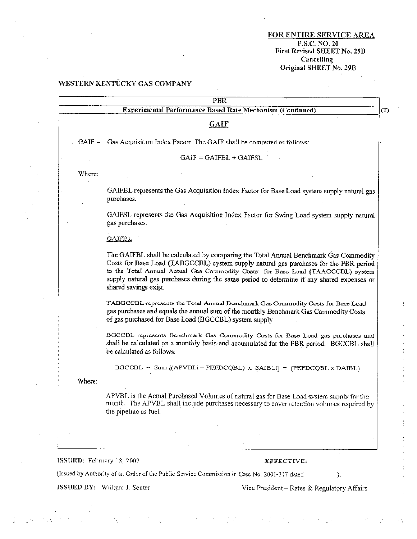FOR ENTIRE SERVICE AREA P.S.C. NO. 20<br>First Revised SHEET No. 29B Cancelling Original SHEET No. 29B

#### WESTERN KENTÜCKY GAS COMPANY

|        | PBR                                                                                                                                                                                                                                                                                                                                                                                    |
|--------|----------------------------------------------------------------------------------------------------------------------------------------------------------------------------------------------------------------------------------------------------------------------------------------------------------------------------------------------------------------------------------------|
|        | Experimental Performance Based Rate Mechanism (Continued)                                                                                                                                                                                                                                                                                                                              |
|        | <b>GAIF</b>                                                                                                                                                                                                                                                                                                                                                                            |
|        | GAIF = Gas Acquisition Index Factor. The GAIF shall be computed as follows:                                                                                                                                                                                                                                                                                                            |
|        | $GAIF = GAIFBL + GAIFSL$                                                                                                                                                                                                                                                                                                                                                               |
| Where: |                                                                                                                                                                                                                                                                                                                                                                                        |
|        | GAIFBL represents the Gas Acquisition Index Factor for Base Load system supply natural gas<br>purchases.                                                                                                                                                                                                                                                                               |
|        | GAIFSL represents the Gas Acquisition Index Factor for Swing Load system supply natural<br>gas purchases.                                                                                                                                                                                                                                                                              |
|        | <b>GAIFBL</b>                                                                                                                                                                                                                                                                                                                                                                          |
|        | The GAIFBL shall be calculated by comparing the Total Annual Benchmark Gas Commodity<br>Costs for Base Load (TABGCCBL) system supply natural gas purchases for the PBR period<br>to the Total Annual Actual Gas Commodity Costs for Base Load (TAAGCCDL) system<br>supply natural gas purchases during the same period to determine if any shared expenses or<br>shared savings exist. |
|        | TABGCCBL represents the Total Annual Denchmark Gas Commodity Costs for Base Load<br>gas purchases and equals the annual sum of the monthly Benchmark Gas Commodity Costs<br>of gas purchased for Base Load (BGCCBL) system supply                                                                                                                                                      |
|        | DGCCDL represents Benchmark Gas Commodity Costs for Base Load gas purchases and<br>shall be calculated on a monthly basis and accumulated for the PBR period. BGCCBL shall<br>be calculated as follows:                                                                                                                                                                                |
|        | BGCCBL - Sum {(APVBLi-PEFDCQBL) x SAIBLi] + (PEFDCQBL x DAIBL)                                                                                                                                                                                                                                                                                                                         |
| Where: |                                                                                                                                                                                                                                                                                                                                                                                        |
|        | APVBL is the Actual Purchased Volumes of natural gas for Base Load system supply for the<br>month. The APVBL shall include purchases necessary to cover retention volumes required by                                                                                                                                                                                                  |

ISSUED: February 18, 2002

#### **TFFECTIVE:**

(Issued by Authority of an Order of the Public Service Commission in Case No. 2001-317 dated

ISSUED BY: William J. Senter

Vice President - Rates & Regulatory Affairs

 $\mathcal{L}$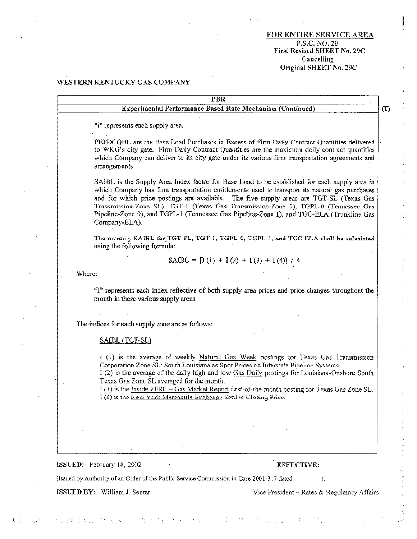#### **FOR ENTIRE SERVICE AREA** P.S.C. NO. 20 First Revised SHEET No. 29C Cancelling Original SHEET No. 29C

#### WESTERN KENTUCKY GAS COMPANY

| PBR                                                                                                                                                                                                                                                                                                                                                                                                                                                                                            |
|------------------------------------------------------------------------------------------------------------------------------------------------------------------------------------------------------------------------------------------------------------------------------------------------------------------------------------------------------------------------------------------------------------------------------------------------------------------------------------------------|
| <b>Experimental Performance Based Rate Mechanism (Continued)</b>                                                                                                                                                                                                                                                                                                                                                                                                                               |
| "i" represents each supply area.                                                                                                                                                                                                                                                                                                                                                                                                                                                               |
| PEFDCQBL are the Base Load Purchases in Excess of Firm Daily Contract Quantities delivered<br>to WKG's city gate. Firm Daily Contract Quantities are the maximum daily contract quantities<br>which Company can deliver to its city gate under its various firm transportation agreements and<br>arrangements.                                                                                                                                                                                 |
| SAIBL is the Supply Area Index factor for Base Load to be established for each supply area in<br>which Company has firm transportation entitlements used to transport its natural gas purchases<br>and for which price postings are available. The five supply areas are TGT-SL (Texas Gas<br>Transmission-Zone SL), TGT-1 (Texas Gas Transmission-Zone 1), TGPL-0 (Tennessee Gas<br>Pipeline-Zone 0), and TGPL-1 (Tennessee Gas Pipeline-Zone 1), and TGC-ELA (Trunkline Gas<br>Company-ELA). |

The monthly SAIBL for TGT-SL, TGT-1, TGPL-0, TGPL-1, and TGC-ELA shall be calculated using the following formula:

$$
SAIBL = [I(1) + I(2) + I(3) + I(4)] / 4
$$

Where:

"I" represents each index reflective of both supply area prices and price changes throughout the month in these various supply areas.

The indices for each supply zone are as follows:

#### SAIBL (TGT-SL)

I (I) is the average of weekly Natural Gas Week postings for Texas Gas Transmission Corporation Zone SL: South Louisiana as Spot Prices on Interstate Pipeline Systems I (2) is the average of the daily high and low Gas Daily postings for Louisiana-Onshore South Texas Gas Zone SL averaged for the month.

I (3) is the Inside FERC - Gas Market Report first-of-the-month posting for Texas Gas Zone SL. I (4) is the New York Mercantile Exchange Settled Closing Price.

ISSUED: February 18, 2002

#### EFFECTIVE:

(Issued by Authority of an Order of the Public Service Commission in Case 2001-317 dated

ISSUED BY: William J. Senter

Vice President - Rates & Regulatory Affairs

À.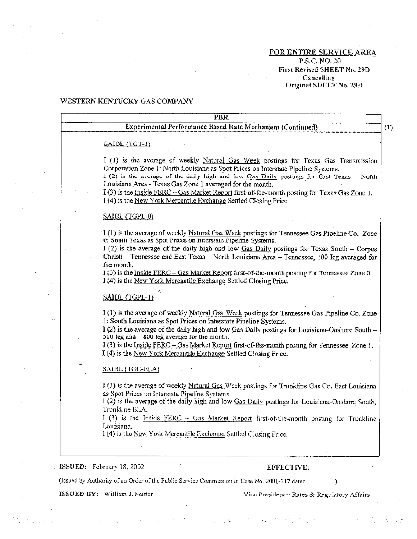#### FOR ENTIRE SERVICE AREA P.S.C. NO. 20 First Revised SHEET No. 29D Cancelling Original SHEET No. 29D

#### WESTERN KENTUCKY GAS COMPANY

| <b>PBR</b>                                                                                      |
|-------------------------------------------------------------------------------------------------|
| <b>Experimental Performance Based Rate Mechanism (Continued)</b>                                |
|                                                                                                 |
| $S_{\text{A}}$ IDL $(TGT-1)$                                                                    |
| I (1) is the average of weekly Natural Gas Week postings for Texas Gas Transmission             |
| Corporation Zone 1: North Louisiana as Spot Prices on Interstate Pipeline Systems.              |
| I (2) is the average of the daily high and low Oas Daily postings for East Texas - North        |
| Louisiana Area - Texas Gas Zone 1 averaged for the month.                                       |
| I(3) is the Inside FERC - Gas Market Report first-of-the-month posting for Texas Gas Zone 1.    |
| I (4) is the New York Mercantile Exchange Settled Closing Price.                                |
| SAIBL (TGPL-0)                                                                                  |
| I(1) is the average of weekly Natural Gas Week postings for Tennessee Gas Pipeline Co. Zone     |
| 0. South Texas as Spot Prices on Interstate Pipeline Systems.                                   |
| I (2) is the average of the daily high and low $G$ as Daily postings for Texas South - Corpus   |
| Christi - Tennessee and East Texas - North Louisiana Area - Tennessee, 100 leg averaged for     |
| the month.                                                                                      |
| I (3) is the Inside FERC - Gas Market Report first-of-the-month posting for Tennessee Zone 0.   |
| I (4) is the New York Mercantile Exchange Settled Closing Price.                                |
| SAIBL (TGPL-1)                                                                                  |
| I (1) is the average of weekly Natural Gas Week postings for Tennessee Gas Pipeline Co. Zone    |
| 1: South Louisiana as Spot Prices on Interstate Pipeline Systems.                               |
| I (2) is the average of the daily high and low Gas Daily postings for Louisiana-Onshore South - |
| $500$ leg and $-800$ leg average for the month.                                                 |
| I (3) is the Inside FERC - Gas Market Report first-of-the-month posting for Tennessee Zone 1.   |
| I (4) is the New York Mercantile Exchange Settled Closing Price.                                |
| SAIBL (TGC-ELA)                                                                                 |
|                                                                                                 |
| I (1) is the average of weekly Natural Gas Week postings for Trunkline Gas Co. East Louisiana   |
| as Spot Prices on Interstate Pipeline Systems.                                                  |
| 1 (2) is the average of the daily high and low Gas Daily postings for Louisiana-Onshore South,  |
| Trunkline ELA.                                                                                  |
| I (3) is the Inside FERC - Gas Market Report first-of-the-month posting for Trunkline           |
| Louisiana.                                                                                      |
| I (4) is the New York Mercantile Exchange Settled Closing Price.                                |
|                                                                                                 |
| ISSUED: February 18, 2002<br>EFFECTIVE:                                                         |
|                                                                                                 |

£

(Issued by Authority of an Order of the Public Service Commission in Case No. 2001-317 dated

ISSUED BY: William J. Senter

Vice President - Rates & Regulatory Affairs

 $\rightarrow$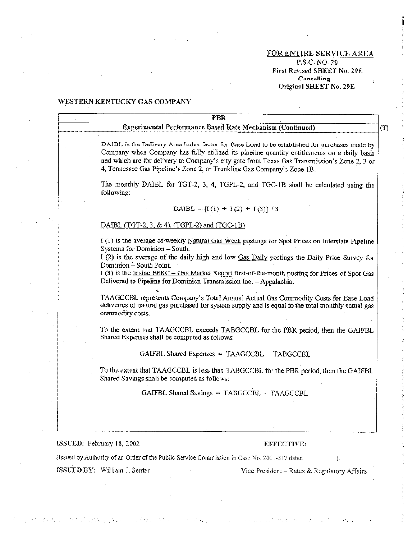#### FOR ENTIRE SERVICE AREA

P.S.C. NO. 20 First Revised SHEET No. 29E Cancelling Original SHEET No. 29E

 $(T)$ 

#### WESTERN KENTUCKY GAS COMPANY

### **PBR Experimental Performance Based Rate Mechanism (Continued)**

DAIDL is the Delivery Area Index factor for Base Load to be established for purchases made by Company when Company has fully utilized its pipeline quantity entitlements on a daily basis and which are for delivery to Company's city gate from Texas Gas Transmission's Zone 2, 3 or 4. Tennessee Gas Pipeline's Zone 2, or Trankline Gas Company's Zone 1B.

The monthly DAIBL for TGT-2, 3, 4, TGPL-2, and TGC-1B shall be calculated using the following:

#### DAIBL = [I(1) + I(2) + I(3)]  $\frac{3}{3}$

#### DAIBL (TGT-2, 3, & 4), (TGPL-2) and (TGC-1B)

I (1) is the average of weekly Natural Gas Week postings for Spot Prices on Interstate Pipeline Systems for Dominion - South.

I (2) is the average of the daily high and low Gas Daily postings the Daily Price Survey for Dominion – South Point.

I (3) is the Inside FERC - Gas Market Report first-of-the-month posting for Prices of Spot Gas Delivered to Pipeline for Dominion Transmission Inc. - Appalachia.

TAAGCCBL represents Company's Total Annual Actual Gas Commodity Costs for Base Load deliveries of natural gas purchased for system supply and is equal to the total monthly actual gas commodity costs.

To the extent that TAAGCCBL exceeds TABGCCBL for the PBR period, then the GAIFBL Shared Expenses shall be computed as follows:

GAIFBL Shared Expenses = TAAGCCBL - TABGCCBL

To the extent that TAAGCCBL is less than TABGCCBL for the PBR period, then the GAIFBL Shared Savings shall be computed as follows:

GAIFBL Shared Savings = TABGCCBL - TAAGCCBL

#### ISSUED: February 18, 2002

ひのこういれん こうねんご

#### EFFECTIVE:

(Issued by Authority of an Order of the Public Service Commission in Case No. 2001-317 dated

ISSUED BY: William J. Senter

Vice President – Rates & Regulatory Affairs

λ.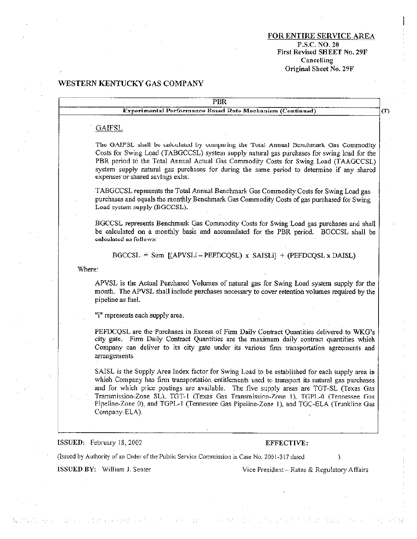#### FOR ENTIRE SERVICE AREA P.S.C.NO. 20 First Revised SHEET No. 29F Cancelling Original Sheet No. 29F

ċ

is slitte

 $\sim$ 

istorian<br>Artist

 $\mathcal{L}$  .

### WESTERN KENTUCKY GAS COMPANY

l,

 $\gamma_1^2\gamma_2^2\gamma_1^2$ 

design of the exchange

 $\sim 10^{11}$  M  $_\odot$  .

| Experimental Performance Based Rate Mechanism (Continued)<br><b>GAIFSL</b><br>The GAIFSL shall be calculated by comparing the Total Annual Benchmark Gas Commodity<br>Costs for Swing Load (TABGCCSL) system supply natural gas purchases for swing load for the<br>PBR period to the Total Annual Actual Gas Commodity Costs for Swing Load (TAAGCCSL)<br>system supply natural gas purchases for during the same period to determine if any shared<br>expenses or shared savings exist.<br>TABGCCSL represents the Total Annual Benchmark Gas Commodity Costs for Swing Load gas<br>purchases and equals the monthly Benchmark Gas Commodity Costs of gas purchased for Swing<br>Load system supply (BGCCSL).<br>BGCCSL represents Benchmark Gas Commodity Costs for Swing Load gas purchases and shall<br>be calculated on a monthly basis and accumulated for the PBR period. BGCCSL shall be<br>calculated as follows:<br>$BGCCSL = Sum$ [(APVSLi-PEFDCQSL) x SAISLi] + (PEFDCQSL x DAISL)<br>Where:<br>APVSL is the Actual Purchased Volumes of natural gas for Swing Load system supply for the<br>month. The APVSL shall include purchases necessary to cover retention volumes required by the<br>pipeline as fuel.<br>"i" represents each supply area.<br>PEFDCOSL are the Purchases in Excess of Firm Daily Contract Quantities delivered to WKG's<br>city gate. Firm Daily Contract Quantities are the maximum daily contract quantities which<br>Company can deliver to its city gate under its various firm transportation agreements and<br>arrangements.<br>SAISL is the Supply Area Index factor for Swing Load to be established for each supply area in<br>which Company has firm transportation entitlements used to transport its natural gas purchases<br>and for which price postings are available. The five supply areas are TGT-SL (Texas Gas<br>Transmission-Zone SL). TGT-1 (Texas Gas Transmission-Zone 1), TGPL-0 (Tennessee Gas<br>Pipeline-Zone 0), and TGPL-1 (Tennessee Gas Pipeline-Zone 1), and TGC-ELA (Trunkline Gas<br>Company-ELA).<br>ISSUED: February 18, 2002 |  | <b>PBR</b> |     |
|----------------------------------------------------------------------------------------------------------------------------------------------------------------------------------------------------------------------------------------------------------------------------------------------------------------------------------------------------------------------------------------------------------------------------------------------------------------------------------------------------------------------------------------------------------------------------------------------------------------------------------------------------------------------------------------------------------------------------------------------------------------------------------------------------------------------------------------------------------------------------------------------------------------------------------------------------------------------------------------------------------------------------------------------------------------------------------------------------------------------------------------------------------------------------------------------------------------------------------------------------------------------------------------------------------------------------------------------------------------------------------------------------------------------------------------------------------------------------------------------------------------------------------------------------------------------------------------------------------------------------------------------------------------------------------------------------------------------------------------------------------------------------------------------------------------------------------------------------------------------------------------------------------------------------------------------------------------------------------------------------------------------------------------------------------------------------------------------------------|--|------------|-----|
|                                                                                                                                                                                                                                                                                                                                                                                                                                                                                                                                                                                                                                                                                                                                                                                                                                                                                                                                                                                                                                                                                                                                                                                                                                                                                                                                                                                                                                                                                                                                                                                                                                                                                                                                                                                                                                                                                                                                                                                                                                                                                                          |  |            | (T) |
|                                                                                                                                                                                                                                                                                                                                                                                                                                                                                                                                                                                                                                                                                                                                                                                                                                                                                                                                                                                                                                                                                                                                                                                                                                                                                                                                                                                                                                                                                                                                                                                                                                                                                                                                                                                                                                                                                                                                                                                                                                                                                                          |  |            |     |
|                                                                                                                                                                                                                                                                                                                                                                                                                                                                                                                                                                                                                                                                                                                                                                                                                                                                                                                                                                                                                                                                                                                                                                                                                                                                                                                                                                                                                                                                                                                                                                                                                                                                                                                                                                                                                                                                                                                                                                                                                                                                                                          |  |            |     |
|                                                                                                                                                                                                                                                                                                                                                                                                                                                                                                                                                                                                                                                                                                                                                                                                                                                                                                                                                                                                                                                                                                                                                                                                                                                                                                                                                                                                                                                                                                                                                                                                                                                                                                                                                                                                                                                                                                                                                                                                                                                                                                          |  |            |     |
|                                                                                                                                                                                                                                                                                                                                                                                                                                                                                                                                                                                                                                                                                                                                                                                                                                                                                                                                                                                                                                                                                                                                                                                                                                                                                                                                                                                                                                                                                                                                                                                                                                                                                                                                                                                                                                                                                                                                                                                                                                                                                                          |  |            |     |
|                                                                                                                                                                                                                                                                                                                                                                                                                                                                                                                                                                                                                                                                                                                                                                                                                                                                                                                                                                                                                                                                                                                                                                                                                                                                                                                                                                                                                                                                                                                                                                                                                                                                                                                                                                                                                                                                                                                                                                                                                                                                                                          |  |            |     |
|                                                                                                                                                                                                                                                                                                                                                                                                                                                                                                                                                                                                                                                                                                                                                                                                                                                                                                                                                                                                                                                                                                                                                                                                                                                                                                                                                                                                                                                                                                                                                                                                                                                                                                                                                                                                                                                                                                                                                                                                                                                                                                          |  |            |     |
|                                                                                                                                                                                                                                                                                                                                                                                                                                                                                                                                                                                                                                                                                                                                                                                                                                                                                                                                                                                                                                                                                                                                                                                                                                                                                                                                                                                                                                                                                                                                                                                                                                                                                                                                                                                                                                                                                                                                                                                                                                                                                                          |  |            |     |
|                                                                                                                                                                                                                                                                                                                                                                                                                                                                                                                                                                                                                                                                                                                                                                                                                                                                                                                                                                                                                                                                                                                                                                                                                                                                                                                                                                                                                                                                                                                                                                                                                                                                                                                                                                                                                                                                                                                                                                                                                                                                                                          |  |            |     |
|                                                                                                                                                                                                                                                                                                                                                                                                                                                                                                                                                                                                                                                                                                                                                                                                                                                                                                                                                                                                                                                                                                                                                                                                                                                                                                                                                                                                                                                                                                                                                                                                                                                                                                                                                                                                                                                                                                                                                                                                                                                                                                          |  |            |     |
|                                                                                                                                                                                                                                                                                                                                                                                                                                                                                                                                                                                                                                                                                                                                                                                                                                                                                                                                                                                                                                                                                                                                                                                                                                                                                                                                                                                                                                                                                                                                                                                                                                                                                                                                                                                                                                                                                                                                                                                                                                                                                                          |  |            |     |
|                                                                                                                                                                                                                                                                                                                                                                                                                                                                                                                                                                                                                                                                                                                                                                                                                                                                                                                                                                                                                                                                                                                                                                                                                                                                                                                                                                                                                                                                                                                                                                                                                                                                                                                                                                                                                                                                                                                                                                                                                                                                                                          |  | EFFECTIVE: |     |
| (Issued by Authority of an Order of the Public Service Commission in Case No. 2001-317 dated<br>).                                                                                                                                                                                                                                                                                                                                                                                                                                                                                                                                                                                                                                                                                                                                                                                                                                                                                                                                                                                                                                                                                                                                                                                                                                                                                                                                                                                                                                                                                                                                                                                                                                                                                                                                                                                                                                                                                                                                                                                                       |  |            |     |
| ISSUED BY: William J. Senter<br>Vice President - Rates & Regulatory Affairs                                                                                                                                                                                                                                                                                                                                                                                                                                                                                                                                                                                                                                                                                                                                                                                                                                                                                                                                                                                                                                                                                                                                                                                                                                                                                                                                                                                                                                                                                                                                                                                                                                                                                                                                                                                                                                                                                                                                                                                                                              |  |            |     |

 $\mathbb{C}^1_+$ 

 $\mathcal{L}(\mathcal{L}(\mathcal{C}))$  .

 $\gamma^{\rm th}$ 

 $\lambda_{\rm{max}}$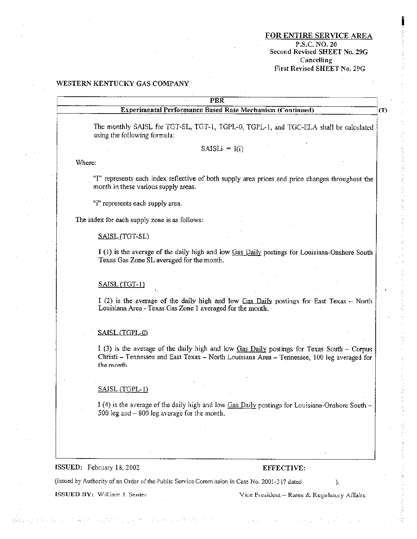#### FOR ENTIRE SERVICE AREA P.S.C. NO. 20 Second Revised SHEET No. 29G Cancelling First Revised SHEET No. 29G

 $(T)$ 

#### WESTERN KENTUCKY GAS COMPANY

### $\overline{\mathrm{PBR}}$

**Experimental Performance Based Rate Mechanism (Continued)** 

The monthly SAISL for TGT-SL, TGT-1, TGPL-0, TGPL-1, and TGC-ELA shall be calculated using the following formula:

 $SAISLi = I(i)$ 

Where:

"I" represents each index reflective of both supply area prices and price changes throughout the month in these various supply areas.

"i" represents each supply area.

The index for each supply zone is as follows:

SAISL (TGT-SL)

I (1) is the average of the daily high and low Gas Daily postings for Louisiana-Onshore South Texas Gas Zone SL averaged for the month.

SAISL (TGT-1)

I (2) is the average of the daily high and low Gas Daily postings for East Texas  $-$  North Louisiana Area - Texas Gas Zone 1 averaged for the month.

#### SAISL (TGPL-0)

 $1(3)$  is the average of the daily high and low Gas Daily postings for Texas South – Corpus Christi - Tennessee and East Texas - North Louisiana Area - Tennessee, 100 leg averaged for the month.

#### SAISL (TGPL-1)

I (4) is the average of the daily high and low Gas Daily postings for Louisiana-Onshore South -500 leg and  $-800$  leg average for the month.

#### ISSUED: February 18, 2002

#### EFFECTIVE:

(Issued by Authority of an Order of the Public Service Commission in Case No. 2001-317 dated

ISSUED BY: William J. Senter

Vice President - Rates & Regulatory Affairs

 $\mathcal{L}$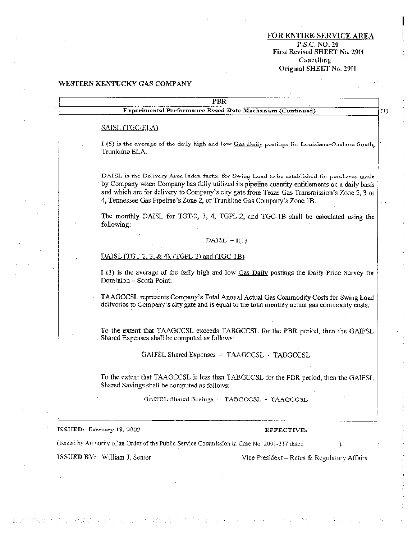FOR ENTIRE SERVICE AREA P.S.C. NO. 20<br>First Revised SHEET No. 29H Cancelling Original SHEET No. 29H

 $\mathcal{L}_{\mathrm{eff}}$ 

 $\mathcal{O}(1)$ 

VI.

 $\omega\in\mathbb{Z}_{\geq 0}$ 

13345

 $\pm$  .

#### WESTERN KENTUCKY GAS COMPANY

 $\bar{z}$ 

 $\mathcal{L}$ 

(2008年7月25日) はんぎかんかい

 $21.5433$ 

V.  $\alpha\rightarrow\beta\gamma$  M.

| <b>PBR</b>                                                                                                                                                                                                                                                                                                                                                               |
|--------------------------------------------------------------------------------------------------------------------------------------------------------------------------------------------------------------------------------------------------------------------------------------------------------------------------------------------------------------------------|
| Experimental Performance Rased Rate Mechanism (Continued)                                                                                                                                                                                                                                                                                                                |
| SAISL (TGC-ELA)                                                                                                                                                                                                                                                                                                                                                          |
| I (5) is the average of the daily high and low Gas Daily postings for Louisiana-Onshore South,<br>Trunkline ELA.                                                                                                                                                                                                                                                         |
| DAISL is the Delivery Area Index factor for Swing Load to be established for purchases made<br>by Company when Company has fully utilized its pipeline quantity entitlements on a daily basis<br>and which are for delivery to Company's city gate from Texas Gas Transmission's Zone 2, 3 or<br>4, Tennessee Gas Pipeline's Zone 2, or Trunkline Gas Company's Zone 1B. |
| The monthly DAISL for TGT-2, 3, 4, TGPL-2, and TGC-1B shall be calculated using the<br>following:                                                                                                                                                                                                                                                                        |
| DAISL $-I(1)$                                                                                                                                                                                                                                                                                                                                                            |
| DAISL (TGT-2, 3, & 4), (TGPL-2) and (TGC-1B)                                                                                                                                                                                                                                                                                                                             |
| I (1) is the average of the daily high and low Gas Daily postings the Daily Price Survey for<br>Dominion - South Point.                                                                                                                                                                                                                                                  |
| TAAGCCSL represents Company's Total Annual Actual Gas Commodity Costs for Swing Load<br>deliveries to Company's city gate and is equal to the total monthly actual gas commodity costs.                                                                                                                                                                                  |
| To the extent that TAAGCCSL exceeds TABGCCSL for the PBR period, then the GAIFSL<br>Shared Expenses shall be computed as follows:                                                                                                                                                                                                                                        |
| GAIFSL Shared Expenses = TAAGCCSL - TABGCCSL                                                                                                                                                                                                                                                                                                                             |
| To the extent that TAAGCCSL is less than TABGCCSL for the PBR period, then the GAIFSL<br>Shared Savings shall be computed as follows:                                                                                                                                                                                                                                    |
| GAIF3L 3hared Savings - TABGCC3L - TAAGCCSL                                                                                                                                                                                                                                                                                                                              |
| ISSUED: February 18, 2002<br>EFFECTIVE:                                                                                                                                                                                                                                                                                                                                  |
| (Issued by Authority of an Order of the Public Service Commission in Case No. 2001-317 dated<br>).                                                                                                                                                                                                                                                                       |
| ISSUED BY: William J. Senter<br>Vice President - Rates & Regulatory Affairs                                                                                                                                                                                                                                                                                              |
|                                                                                                                                                                                                                                                                                                                                                                          |

 $\mathcal{C}_{\mathcal{A},\mathcal{C}}$ 

 $\sim$ 

 $\mathcal{L}^{(1)}$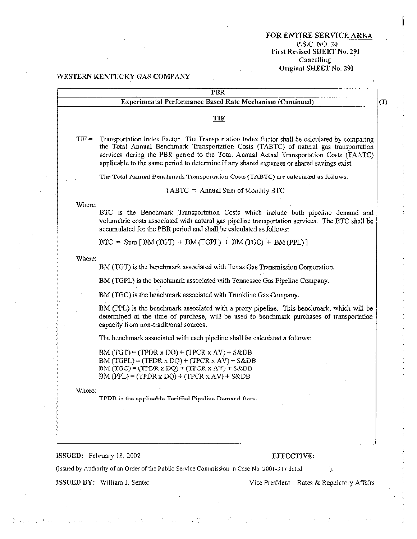#### FOR ENTIRE SERVICE AREA P.S.C.NO. Z0 First Revised SHEET No. Z91 Cancelling Original SHEET No. 291

#### WESTERN KENTUCKY GAS COMPANY

| TIF<br>Transportation Index Factor. The Transportation Index Factor shall be calculated by comparing<br>$TIF =$<br>the Total Annual Benchmark Transportation Costs (TABTC) of natural gas transportation<br>services during the PBR period to the Total Annual Actual Transportation Costs (TAATC)<br>applicable to the same period to determine if any shared expenses or shared savings exist.<br>The Total Annual Benchmark Transportation Costs (TABTC) are calculated as follows:<br>TABTC = Annual Sum of Monthly BTC<br>Where:<br>BTC is the Benchmark Transportation Costs which include both pipeline demand and<br>volumetric costs associated with natural gas pipeline transportation services. The BTC shall be<br>accumulated for the PBR period and shall be calculated as follows:<br>$BTC = Sum [ BM (TGT) + BM (TGPL) + BM (TGC) + BM (PPL) ]$<br>Where:<br>BM (TGT) is the benchmark associated with Texas Gas Transmission Corporation.<br>BM (TGPL) is the benchmark associated with Tennessee Gas Pipeline Company.<br>BM (TGC) is the benchmark associated with Trunkline Gas Company.<br>BM (PPL) is the benchmark associated with a proxy pipeline. This benchmark, which will be<br>determined at the time of purchase, will be used to benchmark purchases of transportation<br>capacity from non-traditional sources.<br>The benchmark associated with each pipeline shall be calculated a follows:<br>$BM(TGT) = (TPDR \times DQ) + (TPCR \times AV) + S&DB$<br>$BM(TGPL) = (TPDR \times DQ) + (TPCR \times AV) + S&DB$<br>BM $(TGC)$ = $(TPDR X DQ)$ + $(TPCR X AV)$ + $S\&DB$<br>$BM (PPL) = (TPDR \times DQ) + (TPCR \times AV) + S&DB$<br>Where:<br>TPDR is the applicable Tariffed Pipeline Demand Rate. | <b>Experimental Performance Based Rate Mechanism (Continued)</b> |
|--------------------------------------------------------------------------------------------------------------------------------------------------------------------------------------------------------------------------------------------------------------------------------------------------------------------------------------------------------------------------------------------------------------------------------------------------------------------------------------------------------------------------------------------------------------------------------------------------------------------------------------------------------------------------------------------------------------------------------------------------------------------------------------------------------------------------------------------------------------------------------------------------------------------------------------------------------------------------------------------------------------------------------------------------------------------------------------------------------------------------------------------------------------------------------------------------------------------------------------------------------------------------------------------------------------------------------------------------------------------------------------------------------------------------------------------------------------------------------------------------------------------------------------------------------------------------------------------------------------------------------------------------------------------------------------------------------------------------------------------|------------------------------------------------------------------|
|                                                                                                                                                                                                                                                                                                                                                                                                                                                                                                                                                                                                                                                                                                                                                                                                                                                                                                                                                                                                                                                                                                                                                                                                                                                                                                                                                                                                                                                                                                                                                                                                                                                                                                                                            |                                                                  |
|                                                                                                                                                                                                                                                                                                                                                                                                                                                                                                                                                                                                                                                                                                                                                                                                                                                                                                                                                                                                                                                                                                                                                                                                                                                                                                                                                                                                                                                                                                                                                                                                                                                                                                                                            |                                                                  |
|                                                                                                                                                                                                                                                                                                                                                                                                                                                                                                                                                                                                                                                                                                                                                                                                                                                                                                                                                                                                                                                                                                                                                                                                                                                                                                                                                                                                                                                                                                                                                                                                                                                                                                                                            |                                                                  |
|                                                                                                                                                                                                                                                                                                                                                                                                                                                                                                                                                                                                                                                                                                                                                                                                                                                                                                                                                                                                                                                                                                                                                                                                                                                                                                                                                                                                                                                                                                                                                                                                                                                                                                                                            |                                                                  |
|                                                                                                                                                                                                                                                                                                                                                                                                                                                                                                                                                                                                                                                                                                                                                                                                                                                                                                                                                                                                                                                                                                                                                                                                                                                                                                                                                                                                                                                                                                                                                                                                                                                                                                                                            |                                                                  |
|                                                                                                                                                                                                                                                                                                                                                                                                                                                                                                                                                                                                                                                                                                                                                                                                                                                                                                                                                                                                                                                                                                                                                                                                                                                                                                                                                                                                                                                                                                                                                                                                                                                                                                                                            |                                                                  |
|                                                                                                                                                                                                                                                                                                                                                                                                                                                                                                                                                                                                                                                                                                                                                                                                                                                                                                                                                                                                                                                                                                                                                                                                                                                                                                                                                                                                                                                                                                                                                                                                                                                                                                                                            |                                                                  |
|                                                                                                                                                                                                                                                                                                                                                                                                                                                                                                                                                                                                                                                                                                                                                                                                                                                                                                                                                                                                                                                                                                                                                                                                                                                                                                                                                                                                                                                                                                                                                                                                                                                                                                                                            |                                                                  |
|                                                                                                                                                                                                                                                                                                                                                                                                                                                                                                                                                                                                                                                                                                                                                                                                                                                                                                                                                                                                                                                                                                                                                                                                                                                                                                                                                                                                                                                                                                                                                                                                                                                                                                                                            |                                                                  |
|                                                                                                                                                                                                                                                                                                                                                                                                                                                                                                                                                                                                                                                                                                                                                                                                                                                                                                                                                                                                                                                                                                                                                                                                                                                                                                                                                                                                                                                                                                                                                                                                                                                                                                                                            |                                                                  |
|                                                                                                                                                                                                                                                                                                                                                                                                                                                                                                                                                                                                                                                                                                                                                                                                                                                                                                                                                                                                                                                                                                                                                                                                                                                                                                                                                                                                                                                                                                                                                                                                                                                                                                                                            |                                                                  |
|                                                                                                                                                                                                                                                                                                                                                                                                                                                                                                                                                                                                                                                                                                                                                                                                                                                                                                                                                                                                                                                                                                                                                                                                                                                                                                                                                                                                                                                                                                                                                                                                                                                                                                                                            |                                                                  |
|                                                                                                                                                                                                                                                                                                                                                                                                                                                                                                                                                                                                                                                                                                                                                                                                                                                                                                                                                                                                                                                                                                                                                                                                                                                                                                                                                                                                                                                                                                                                                                                                                                                                                                                                            |                                                                  |
|                                                                                                                                                                                                                                                                                                                                                                                                                                                                                                                                                                                                                                                                                                                                                                                                                                                                                                                                                                                                                                                                                                                                                                                                                                                                                                                                                                                                                                                                                                                                                                                                                                                                                                                                            |                                                                  |
|                                                                                                                                                                                                                                                                                                                                                                                                                                                                                                                                                                                                                                                                                                                                                                                                                                                                                                                                                                                                                                                                                                                                                                                                                                                                                                                                                                                                                                                                                                                                                                                                                                                                                                                                            |                                                                  |
|                                                                                                                                                                                                                                                                                                                                                                                                                                                                                                                                                                                                                                                                                                                                                                                                                                                                                                                                                                                                                                                                                                                                                                                                                                                                                                                                                                                                                                                                                                                                                                                                                                                                                                                                            |                                                                  |
|                                                                                                                                                                                                                                                                                                                                                                                                                                                                                                                                                                                                                                                                                                                                                                                                                                                                                                                                                                                                                                                                                                                                                                                                                                                                                                                                                                                                                                                                                                                                                                                                                                                                                                                                            |                                                                  |
|                                                                                                                                                                                                                                                                                                                                                                                                                                                                                                                                                                                                                                                                                                                                                                                                                                                                                                                                                                                                                                                                                                                                                                                                                                                                                                                                                                                                                                                                                                                                                                                                                                                                                                                                            |                                                                  |
|                                                                                                                                                                                                                                                                                                                                                                                                                                                                                                                                                                                                                                                                                                                                                                                                                                                                                                                                                                                                                                                                                                                                                                                                                                                                                                                                                                                                                                                                                                                                                                                                                                                                                                                                            |                                                                  |
| ISSUED: February 18, 2002                                                                                                                                                                                                                                                                                                                                                                                                                                                                                                                                                                                                                                                                                                                                                                                                                                                                                                                                                                                                                                                                                                                                                                                                                                                                                                                                                                                                                                                                                                                                                                                                                                                                                                                  | EFFECTIVE:                                                       |

ISSUED BY: William J. Senter Vice President – Rates & Regulatory Affairs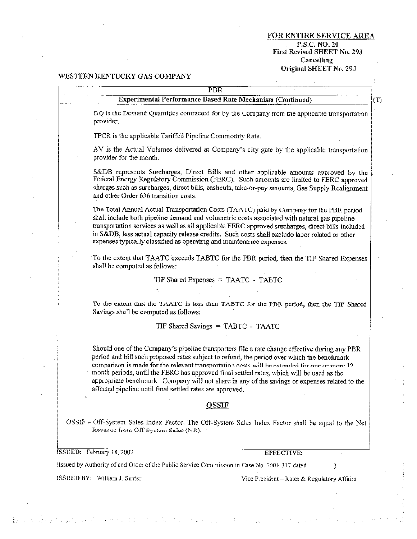FOR ENTIRE SERVICE AREA P.S.C. NO. 20 First Revised SHEET No. 29J Cancelling Original SHEET No. 29J

#### WESTERN KENTUCKY GAS COMPANY

| PBR                                                                                                                         |     |
|-----------------------------------------------------------------------------------------------------------------------------|-----|
| <b>Experimental Performance Based Rate Mechanism (Continued)</b>                                                            | (T) |
| DQ is the Demand Quantities contracted for by the Company from the applicable transportation<br>provider.                   |     |
| TPCR is the applicable Tariffed Pipeline Commodity Rate.                                                                    |     |
| AV is the Actual Volumes delivered at Company's city gate by the applicable transportation<br>provider for the month.       |     |
| S&DB represents Surcharges, Direct Bills and other applicable amounts approved by the<br>$\text{Fodernl Eparay Demulation}$ |     |

Federal Energy Regulatory Commission (FERC). Such amounts are limited to FERC approved charges such as surcharges, direct bills, cashouts, take-or-pay amounts, Gas Supply Realignment and other Order 636 transition costs.

The Total Annual Actual Transportation Costs (TAATC) paid by Company for the PBR period shall include both pipeline demand and volumetric costs associated with natural gas pipeline transportation services as well as all applicable FERC approved surcharges, direct bills included in S&DB, less actual capacity release credits. Such costs shall exclude labor related or other expenses typically classified as operating and maintenance expenses.

To the extent that TAATC exceeds TABTC for the PBR period, then the TIF Shared Expenses shall be computed as follows:

TIF Shared Expenses = TAATC - TABTC

To the extent that the TAATC is less than TABTC for the PBR period, then the TIF Shared Savings shall be computed as follows:

TIF Shared Savings = TABTC - TAATC

Should one of the Company's pipeline transporters file a rate change effective during any PBR period and bill such proposed rates subject to refund, the period over which the benchmark comparison is made for the relevant transportation costs will be extended for one or more 12 month periods, until the FERC has approved final settled rates, which will be used as the appropriate benchmark. Company will not share in any of the savings or expenses related to the affected pipeline until final settled rates are approved.

#### **OSSIF**

OSSIF = Off-System Sales Index Factor. The Off-System Sales Index Factor shall be equal to the Net Revenue from Off System Sales (NR).

**ESSUED:** February 18, 2002

EFFECTIVE:

(Issued by Authority of and Order of the Public Service Commission in Case No. 2001-317 dated

**ISSUED BY:** William J. Senter

By considerably the watercomplex for the back

Vice President - Rates & Regulatory Affairs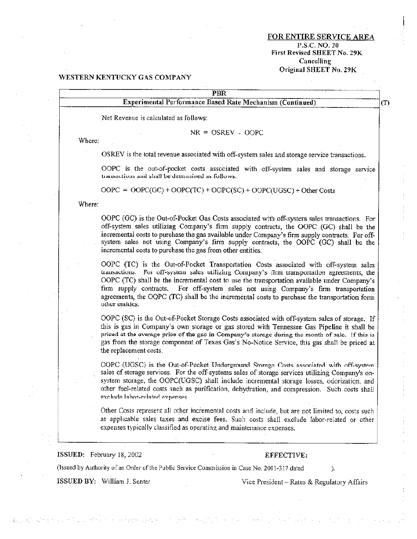#### **FOR ENTIRE SERVICE AREA** P.S.C. NO. 20 First Revised SHEET No. 29K **Cancelling** Original SHEET No. 29K

#### WESTERN KENTUCKY GAS COMPANY

### $\overline{\text{PBR}}$ **Experimental Performance Based Rate Mechanism (Continued)**  $(T)$ Net Revenue is calculated as follows:  $NR = OSREV - OOPC$ Where: OSREV is the total revenue associated with off-system sales and storage service transactions. OOPC is the out-of-pocket costs associated with off-system sales and storage service transactions and shall be determined as follows.  $OOPC = OOPC(GC) + OOPC(TC) + OOPC(SC) + OOPC(UGSC) + Other Costs$

Where:

OOPC (GC) is the Out-of-Pocket Gas Costs associated with off-system sales transactions. For off-system sales utilizing Company's firm supply contracts, the OOPC (GC) shall be the incremental costs to purchase the gas available under Company's firm supply contracts. For offsystem sales not using Company's firm supply contracts, the OOPC (GC) shall be the incremental costs to purchase the gas from other entities.

OOPC (TC) is the Out-of-Pocket Transportation Costs associated with off-system sales transactions. For off-system sales utilizing Company's firm transportation agreements, the OOPC (TC) shall be the incremental cost to use the transportation available under Company's firm supply contracts. For off-system sales not using Company's firm transportation agreements, the OQPC (TC) shall be the incremental costs to purchase the transportation form other entities.

OOPC (SC) is the Out-of-Pocket Storage Costs associated with off-system sales of storage. If this is gas in Company's own storage or gas stored with Tennessee Gas Pipeline it shall be priced at the average price of the gas in Company's storage during the month of sale. If this is gas from the storage component of Texas Gas's No-Notice Service, this gas shall be priced at the replacement costs.

OOPC (UGSC) is the Out-of-Pocket Underground Storage Costs associated with off-system sales of storage services. For the off-systems sales of storage services utilizing Company's onsystem storage, the OOPC(UGSC) shall include incremental storage losses, odorization, and other fuel-related costs such as purification, dehydration, and compression. Such costs shall exclude labor-related expenses.

Other Costs represent all other incremental costs and include, but are not limited to, costs such as applicable sales taxes and excise fees. Such costs shall exclude labor-related or other expenses typically classified as operating and maintenance expenses.

ISSUED: February 18, 2002

#### EFFECTIVE:

(Issued by Authority of an Order of the Public Service Commission in Case No. 2001-317 dated

ISSUED BY: William J. Senter

数据数据 医肠切除术 医克里特氏反应 网络大大大小大大大大大大大大大大大大大大大

Vice President – Rates & Regulatory Affairs

).